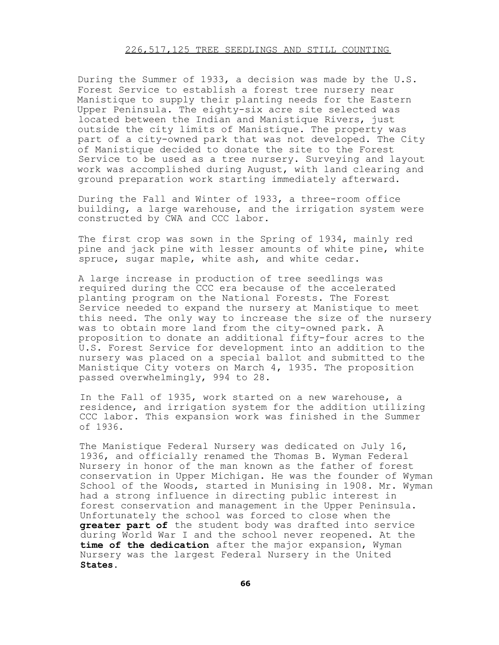### 226,517,125 TREE SEEDLINGS AND STILL COUNTING

During the Summer of 1933, a decision was made by the U.S. Forest Service to establish a forest tree nursery near Manistique to supply their planting needs for the Eastern Upper Peninsula. The eighty-six acre site selected was located between the Indian and Manistique Rivers, just outside the city limits of Manistique. The property was part of a city-owned park that was not developed. The City of Manistique decided to donate the site to the Forest Service to be used as a tree nursery. Surveying and layout work was accomplished during August, with land clearing and ground preparation work starting immediately afterward.

During the Fall and Winter of 1933, a three-room office building, a large warehouse, and the irrigation system were constructed by CWA and CCC labor.

The first crop was sown in the Spring of 1934, mainly red pine and jack pine with lesser amounts of white pine, white spruce, sugar maple, white ash, and white cedar.

A large increase in production of tree seedlings was required during the CCC era because of the accelerated planting program on the National Forests. The Forest Service needed to expand the nursery at Manistique to meet this need. The only way to increase the size of the nursery was to obtain more land from the city-owned park. A proposition to donate an additional fifty-four acres to the U.S. Forest Service for development into an addition to the nursery was placed on a special ballot and submitted to the Manistique City voters on March 4, 1935. The proposition passed overwhelmingly, 994 to 28.

In the Fall of 1935, work started on a new warehouse, a residence, and irrigation system for the addition utilizing CCC labor. This expansion work was finished in the Summer of 1936.

The Manistique Federal Nursery was dedicated on July 16, 1936, and officially renamed the Thomas B. Wyman Federal Nursery in honor of the man known as the father of forest conservation in Upper Michigan. He was the founder of Wyman School of the Woods, started in Munising in 1908. Mr. Wyman had a strong influence in directing public interest in forest conservation and management in the Upper Peninsula. Unfortunately the school was forced to close when the **greater part of** the student body was drafted into service during World War I and the school never reopened. At the **time of the dedication** after the major expansion, Wyman Nursery was the largest Federal Nursery in the United **States.**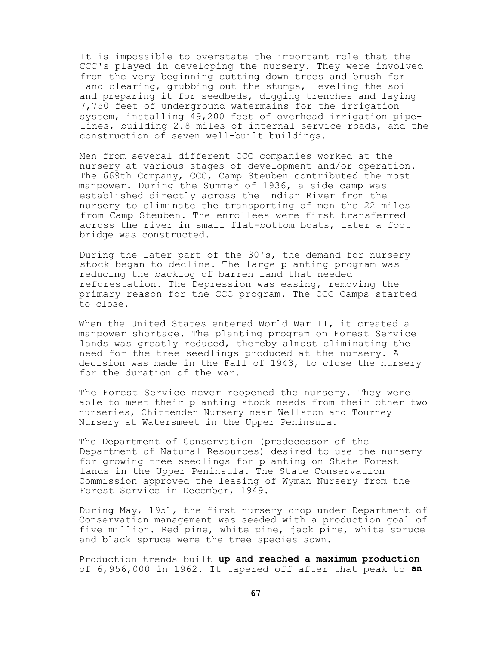It is impossible to overstate the important role that the CCC's played in developing the nursery. They were involved from the very beginning cutting down trees and brush for land clearing, grubbing out the stumps, leveling the soil and preparing it for seedbeds, digging trenches and laying 7,750 feet of underground watermains for the irrigation system, installing 49,200 feet of overhead irrigation pipelines, building 2.8 miles of internal service roads, and the construction of seven well-built buildings.

Men from several different CCC companies worked at the nursery at various stages of development and/or operation. The 669th Company, CCC, Camp Steuben contributed the most manpower. During the Summer of 1936, a side camp was established directly across the Indian River from the nursery to eliminate the transporting of men the 22 miles from Camp Steuben. The enrollees were first transferred across the river in small flat-bottom boats, later a foot bridge was constructed.

During the later part of the 30's, the demand for nursery stock began to decline. The large planting program was reducing the backlog of barren land that needed reforestation. The Depression was easing, removing the primary reason for the CCC program. The CCC Camps started to close.

When the United States entered World War II, it created a manpower shortage. The planting program on Forest Service lands was greatly reduced, thereby almost eliminating the need for the tree seedlings produced at the nursery. A decision was made in the Fall of 1943, to close the nursery for the duration of the war.

The Forest Service never reopened the nursery. They were able to meet their planting stock needs from their other two nurseries, Chittenden Nursery near Wellston and Tourney Nursery at Watersmeet in the Upper Peninsula.

The Department of Conservation (predecessor of the Department of Natural Resources) desired to use the nursery for growing tree seedlings for planting on State Forest lands in the Upper Peninsula. The State Conservation Commission approved the leasing of Wyman Nursery from the Forest Service in December, 1949.

During May, 1951, the first nursery crop under Department of Conservation management was seeded with a production goal of five million. Red pine, white pine, jack pine, white spruce and black spruce were the tree species sown.

Production trends built **up and reached a maximum production** of 6,956,000 in 1962. It tapered off after that peak to **an**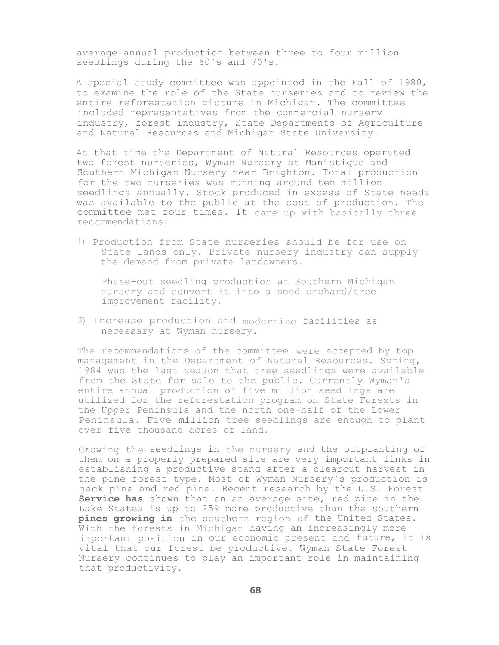average annual production between three to four million seedlings during the 60's and 70's.

A special study committee was appointed in the Fall of 1980, to examine the role of the State nurseries and to review the entire reforestation picture in Michigan. The committee included representatives from the commercial nursery industry, forest industry, State Departments of Agriculture and Natural Resources and Michigan State University.

At that time the Department of Natural Resources operated two forest nurseries, Wyman Nursery at Manistique and Southern Michigan Nursery near Brighton. Total production for the two nurseries was running around ten million seedlings annually. Stock produced in excess of State needs was available to the public at the cost of production. The committee met four times. It came up with basically three recommendations:

1) Production from State nurseries should be for use on State lands only. Private nursery industry can supply the demand from private landowners.

Phase-out seedling production at Southern Michigan nursery and convert it into a seed orchard/tree improvement facility.

3) Increase production and modernize facilities as necessary at Wyman nursery.

The recommendations of the committee were accepted by top management in the Department of Natural Resources. Spring, 1984 was the last season that tree seedlings were available from the State for sale to the public. Currently Wyman's entire annual production of five million seedlings are utilized for the reforestation program on State Forests in the Upper Peninsula and the north one-half of the Lower Peninsula. Five million tree seedlings are enough to plant over five thousand acres of land.

Growing the seedlings in the nursery and the outplanting of them on a properly prepared site are very important links in establishing a productive stand after a clearcut harvest in the pine forest type. Most of Wyman Nursery's production is jack pine and red pine. Recent research by the U.S. Forest **Service has** shown that on an average site, red pine in the Lake States is up to 25% more productive than the southern **pines growing in** the southern region of the United States. With the forests in Michigan having an increasingly more important position in our economic present and future, it is vital that our forest be productive. Wyman State Forest Nursery continues to play an important role in maintaining that productivity.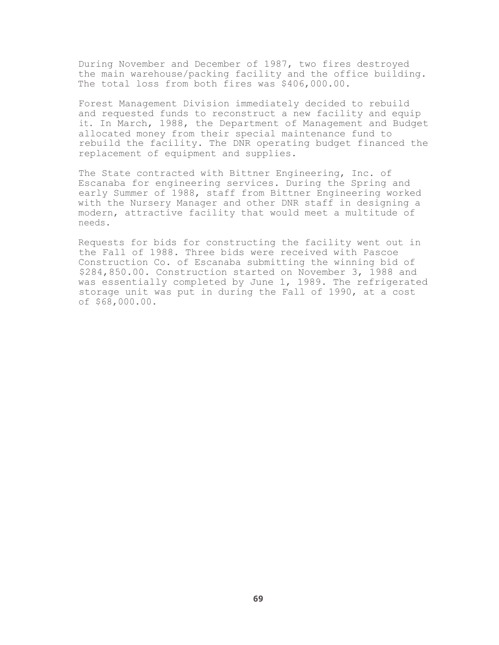During November and December of 1987, two fires destroyed the main warehouse/packing facility and the office building. The total loss from both fires was \$406,000.00.

Forest Management Division immediately decided to rebuild and requested funds to reconstruct a new facility and equip it. In March, 1988, the Department of Management and Budget allocated money from their special maintenance fund to rebuild the facility. The DNR operating budget financed the replacement of equipment and supplies.

The State contracted with Bittner Engineering, Inc. of Escanaba for engineering services. During the Spring and early Summer of 1988, staff from Bittner Engineering worked with the Nursery Manager and other DNR staff in designing a modern, attractive facility that would meet a multitude of needs.

Requests for bids for constructing the facility went out in the Fall of 1988. Three bids were received with Pascoe Construction Co. of Escanaba submitting the winning bid of \$284,850.00. Construction started on November 3, 1988 and was essentially completed by June 1, 1989. The refrigerated storage unit was put in during the Fall of 1990, at a cost of \$68,000.00.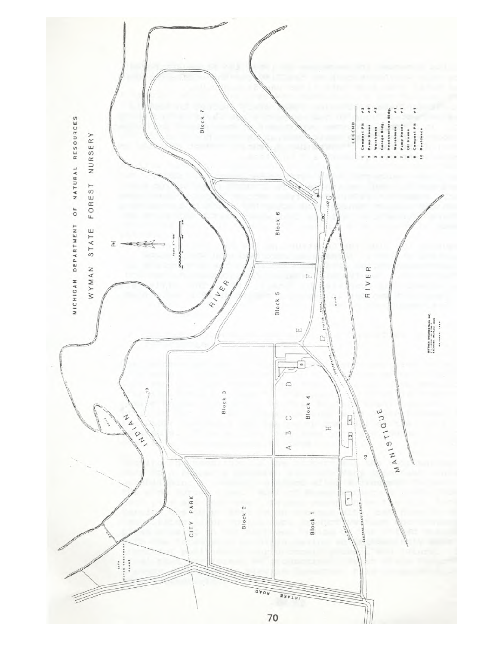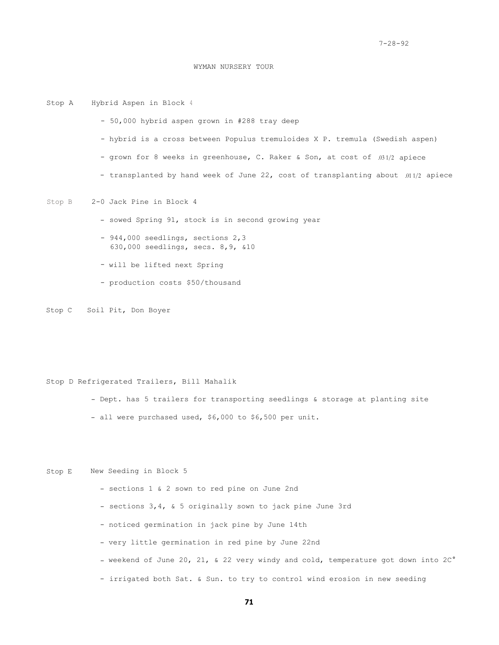### WYMAN NURSERY TOUR

Stop A Hybrid Aspen in Block 4 - 50,000 hybrid aspen grown in #288 tray deep - hybrid is a cross between Populus tremuloides X P. tremula (Swedish aspen) - grown for 8 weeks in greenhouse, C. Raker & Son, at cost of .03 1/2 apiece - transplanted by hand week of June 22, cost of transplanting about .01 1/2 apiece Stop B 2-0 Jack Pine in Block 4 - sowed Spring 91, stock is in second growing year - 944,000 seedlings, sections 2,3 630,000 seedlings, secs. 8,9, &10 - will be lifted next Spring

- production costs \$50/thousand

Stop C Soil Pit, Don Boyer

Stop D Refrigerated Trailers, Bill Mahalik

- Dept. has 5 trailers for transporting seedlings & storage at planting site

- all were purchased used, \$6,000 to \$6,500 per unit.

Stop E New Seeding in Block 5

- sections 1 & 2 sown to red pine on June 2nd
- sections 3,4, & 5 originally sown to jack pine June 3rd
- noticed germination in jack pine by June 14th
- very little germination in red pine by June 22nd
- weekend of June 20, 21, & 22 very windy and cold, temperature got down into 2C°
- irrigated both Sat. & Sun. to try to control wind erosion in new seeding